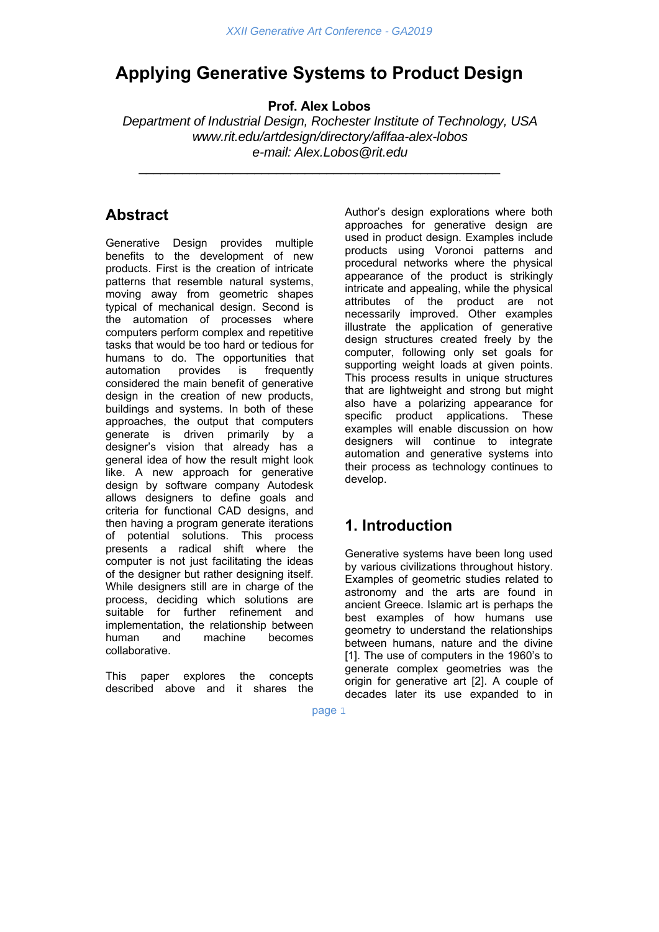# **Applying Generative Systems to Product Design**

**Prof. Alex Lobos** 

\_\_\_\_\_\_\_\_\_\_\_\_\_\_\_\_\_\_\_\_\_\_\_\_\_\_\_\_\_\_\_\_\_\_\_\_\_\_\_\_\_\_\_\_\_\_\_\_\_\_

*Department of Industrial Design, Rochester Institute of Technology, USA www.rit.edu/artdesign/directory/aflfaa-alex-lobos e-mail: Alex.Lobos@rit.edu* 

### **Abstract**

Generative Design provides multiple benefits to the development of new products. First is the creation of intricate patterns that resemble natural systems, moving away from geometric shapes typical of mechanical design. Second is the automation of processes where computers perform complex and repetitive tasks that would be too hard or tedious for humans to do. The opportunities that automation provides is frequently considered the main benefit of generative design in the creation of new products, buildings and systems. In both of these approaches, the output that computers generate is driven primarily by a designer's vision that already has a general idea of how the result might look like. A new approach for generative design by software company Autodesk allows designers to define goals and criteria for functional CAD designs, and then having a program generate iterations of potential solutions. This process presents a radical shift where the computer is not just facilitating the ideas of the designer but rather designing itself. While designers still are in charge of the process, deciding which solutions are suitable for further refinement and implementation, the relationship between human and machine becomes collaborative.

This paper explores the concepts described above and it shares the Author's design explorations where both approaches for generative design are used in product design. Examples include products using Voronoi patterns and procedural networks where the physical appearance of the product is strikingly intricate and appealing, while the physical attributes of the product are not necessarily improved. Other examples illustrate the application of generative design structures created freely by the computer, following only set goals for supporting weight loads at given points. This process results in unique structures that are lightweight and strong but might also have a polarizing appearance for specific product applications. These examples will enable discussion on how designers will continue to integrate automation and generative systems into their process as technology continues to develop.

# **1. Introduction**

Generative systems have been long used by various civilizations throughout history. Examples of geometric studies related to astronomy and the arts are found in ancient Greece. Islamic art is perhaps the best examples of how humans use geometry to understand the relationships between humans, nature and the divine [1]. The use of computers in the 1960's to generate complex geometries was the origin for generative art [2]. A couple of decades later its use expanded to in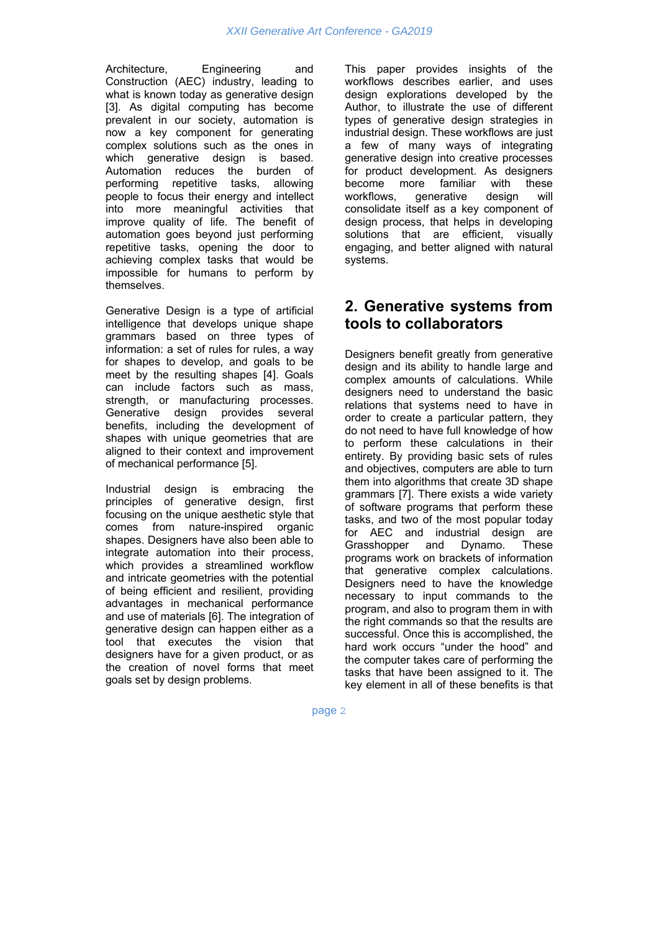Architecture, Engineering and Construction (AEC) industry, leading to what is known today as generative design [3]. As digital computing has become prevalent in our society, automation is now a key component for generating complex solutions such as the ones in which generative design is based. Automation reduces the burden of performing repetitive tasks, allowing people to focus their energy and intellect into more meaningful activities that improve quality of life. The benefit of automation goes beyond just performing repetitive tasks, opening the door to achieving complex tasks that would be impossible for humans to perform by themselves.

Generative Design is a type of artificial intelligence that develops unique shape grammars based on three types of information: a set of rules for rules, a way for shapes to develop, and goals to be meet by the resulting shapes [4]. Goals can include factors such as mass, strength, or manufacturing processes. Generative design provides several benefits, including the development of shapes with unique geometries that are aligned to their context and improvement of mechanical performance [5].

Industrial design is embracing the principles of generative design, first focusing on the unique aesthetic style that comes from nature-inspired organic shapes. Designers have also been able to integrate automation into their process, which provides a streamlined workflow and intricate geometries with the potential of being efficient and resilient, providing advantages in mechanical performance and use of materials [6]. The integration of generative design can happen either as a tool that executes the vision that designers have for a given product, or as the creation of novel forms that meet goals set by design problems.

This paper provides insights of the workflows describes earlier, and uses design explorations developed by the Author, to illustrate the use of different types of generative design strategies in industrial design. These workflows are just a few of many ways of integrating generative design into creative processes for product development. As designers become more familiar with these workflows, generative design will consolidate itself as a key component of design process, that helps in developing solutions that are efficient, visually engaging, and better aligned with natural systems.

## **2. Generative systems from tools to collaborators**

Designers benefit greatly from generative design and its ability to handle large and complex amounts of calculations. While designers need to understand the basic relations that systems need to have in order to create a particular pattern, they do not need to have full knowledge of how to perform these calculations in their entirety. By providing basic sets of rules and objectives, computers are able to turn them into algorithms that create 3D shape grammars [7]. There exists a wide variety of software programs that perform these tasks, and two of the most popular today for AEC and industrial design are Grasshopper and Dynamo. These programs work on brackets of information that generative complex calculations. Designers need to have the knowledge necessary to input commands to the program, and also to program them in with the right commands so that the results are successful. Once this is accomplished, the hard work occurs "under the hood" and the computer takes care of performing the tasks that have been assigned to it. The key element in all of these benefits is that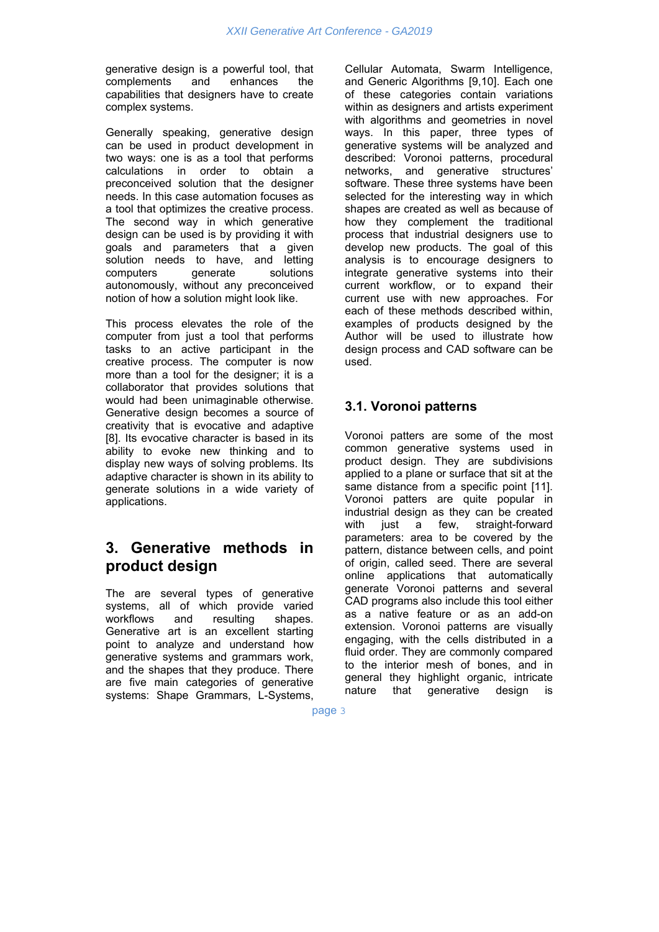generative design is a powerful tool, that complements and enhances the capabilities that designers have to create complex systems.

Generally speaking, generative design can be used in product development in two ways: one is as a tool that performs calculations in order to obtain a preconceived solution that the designer needs. In this case automation focuses as a tool that optimizes the creative process. The second way in which generative design can be used is by providing it with goals and parameters that a given solution needs to have, and letting computers generate solutions autonomously, without any preconceived notion of how a solution might look like.

This process elevates the role of the computer from just a tool that performs tasks to an active participant in the creative process. The computer is now more than a tool for the designer; it is a collaborator that provides solutions that would had been unimaginable otherwise. Generative design becomes a source of creativity that is evocative and adaptive [8]. Its evocative character is based in its ability to evoke new thinking and to display new ways of solving problems. Its adaptive character is shown in its ability to generate solutions in a wide variety of applications.

### **3. Generative methods in product design**

The are several types of generative systems, all of which provide varied workflows and resulting shapes. Generative art is an excellent starting point to analyze and understand how generative systems and grammars work, and the shapes that they produce. There are five main categories of generative systems: Shape Grammars, L-Systems, Cellular Automata, Swarm Intelligence, and Generic Algorithms [9,10]. Each one of these categories contain variations within as designers and artists experiment with algorithms and geometries in novel ways. In this paper, three types of generative systems will be analyzed and described: Voronoi patterns, procedural networks, and generative structures' software. These three systems have been selected for the interesting way in which shapes are created as well as because of how they complement the traditional process that industrial designers use to develop new products. The goal of this analysis is to encourage designers to integrate generative systems into their current workflow, or to expand their current use with new approaches. For each of these methods described within, examples of products designed by the Author will be used to illustrate how design process and CAD software can be used.

#### **3.1. Voronoi patterns**

Voronoi patters are some of the most common generative systems used in product design. They are subdivisions applied to a plane or surface that sit at the same distance from a specific point [11]. Voronoi patters are quite popular in industrial design as they can be created with just a few, straight-forward parameters: area to be covered by the pattern, distance between cells, and point of origin, called seed. There are several online applications that automatically generate Voronoi patterns and several CAD programs also include this tool either as a native feature or as an add-on extension. Voronoi patterns are visually engaging, with the cells distributed in a fluid order. They are commonly compared to the interior mesh of bones, and in general they highlight organic, intricate nature that generative design is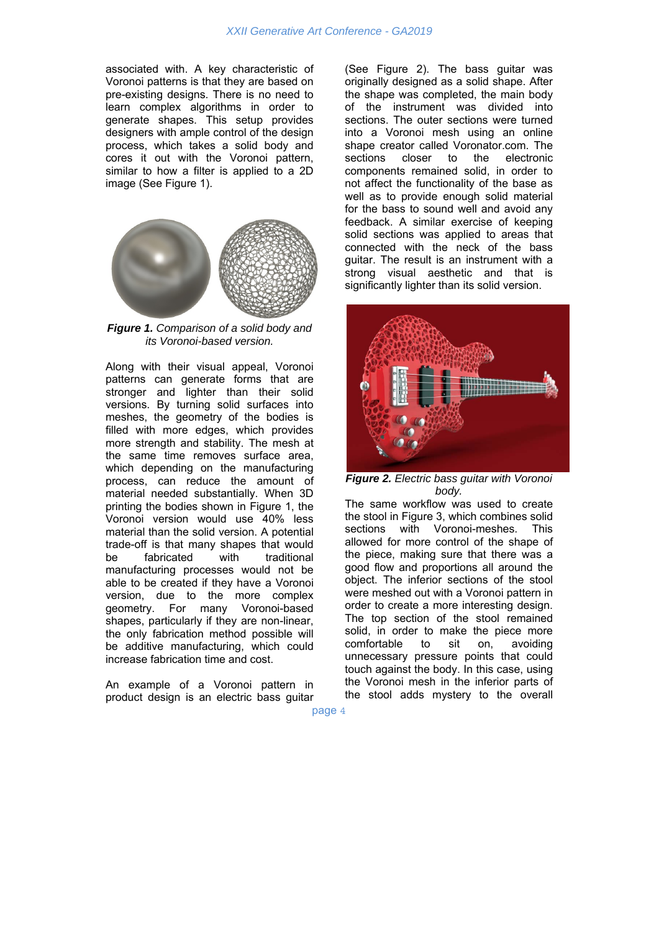associated with. A key characteristic of Voronoi patterns is that they are based on pre-existing designs. There is no need to learn complex algorithms in order to generate shapes. This setup provides designers with ample control of the design process, which takes a solid body and cores it out with the Voronoi pattern, similar to how a filter is applied to a 2D image (See Figure 1).



*Figure 1. Comparison of a solid body and its Voronoi-based version.* 

Along with their visual appeal, Voronoi patterns can generate forms that are stronger and lighter than their solid versions. By turning solid surfaces into meshes, the geometry of the bodies is filled with more edges, which provides more strength and stability. The mesh at the same time removes surface area, which depending on the manufacturing process, can reduce the amount of material needed substantially. When 3D printing the bodies shown in Figure 1, the Voronoi version would use 40% less material than the solid version. A potential trade-off is that many shapes that would be fabricated with traditional manufacturing processes would not be able to be created if they have a Voronoi version, due to the more complex geometry. For many Voronoi-based shapes, particularly if they are non-linear, the only fabrication method possible will be additive manufacturing, which could increase fabrication time and cost.

An example of a Voronoi pattern in product design is an electric bass guitar (See Figure 2). The bass guitar was originally designed as a solid shape. After the shape was completed, the main body of the instrument was divided into sections. The outer sections were turned into a Voronoi mesh using an online shape creator called Voronator.com. The sections closer to the electronic components remained solid, in order to not affect the functionality of the base as well as to provide enough solid material for the bass to sound well and avoid any feedback. A similar exercise of keeping solid sections was applied to areas that connected with the neck of the bass guitar. The result is an instrument with a strong visual aesthetic and that is significantly lighter than its solid version.



*Figure 2. Electric bass guitar with Voronoi body.* 

The same workflow was used to create the stool in Figure 3, which combines solid sections with Voronoi-meshes. This allowed for more control of the shape of the piece, making sure that there was a good flow and proportions all around the object. The inferior sections of the stool were meshed out with a Voronoi pattern in order to create a more interesting design. The top section of the stool remained solid, in order to make the piece more comfortable to sit on, avoiding unnecessary pressure points that could touch against the body. In this case, using the Voronoi mesh in the inferior parts of the stool adds mystery to the overall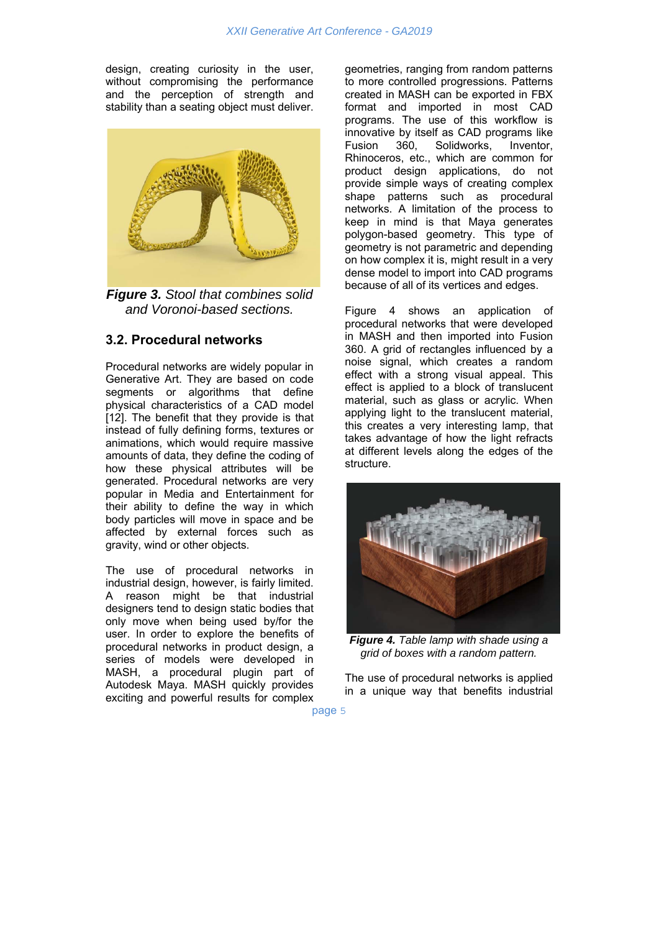design, creating curiosity in the user, without compromising the performance and the perception of strength and stability than a seating object must deliver.



*Figure 3. Stool that combines solid and Voronoi-based sections.* 

#### **3.2. Procedural networks**

Procedural networks are widely popular in Generative Art. They are based on code segments or algorithms that define physical characteristics of a CAD model [12]. The benefit that they provide is that instead of fully defining forms, textures or animations, which would require massive amounts of data, they define the coding of how these physical attributes will be generated. Procedural networks are very popular in Media and Entertainment for their ability to define the way in which body particles will move in space and be affected by external forces such as gravity, wind or other objects.

The use of procedural networks in industrial design, however, is fairly limited. A reason might be that industrial designers tend to design static bodies that only move when being used by/for the user. In order to explore the benefits of procedural networks in product design, a series of models were developed in MASH, a procedural plugin part of Autodesk Maya. MASH quickly provides exciting and powerful results for complex geometries, ranging from random patterns to more controlled progressions. Patterns created in MASH can be exported in FBX format and imported in most CAD programs. The use of this workflow is innovative by itself as CAD programs like Fusion 360, Solidworks, Inventor, Rhinoceros, etc., which are common for product design applications, do not provide simple ways of creating complex shape patterns such as procedural networks. A limitation of the process to keep in mind is that Maya generates polygon-based geometry. This type of geometry is not parametric and depending on how complex it is, might result in a very dense model to import into CAD programs because of all of its vertices and edges.

Figure 4 shows an application of procedural networks that were developed in MASH and then imported into Fusion 360. A grid of rectangles influenced by a noise signal, which creates a random effect with a strong visual appeal. This effect is applied to a block of translucent material, such as glass or acrylic. When applying light to the translucent material, this creates a very interesting lamp, that takes advantage of how the light refracts at different levels along the edges of the structure.



*Figure 4. Table lamp with shade using a grid of boxes with a random pattern.* 

The use of procedural networks is applied in a unique way that benefits industrial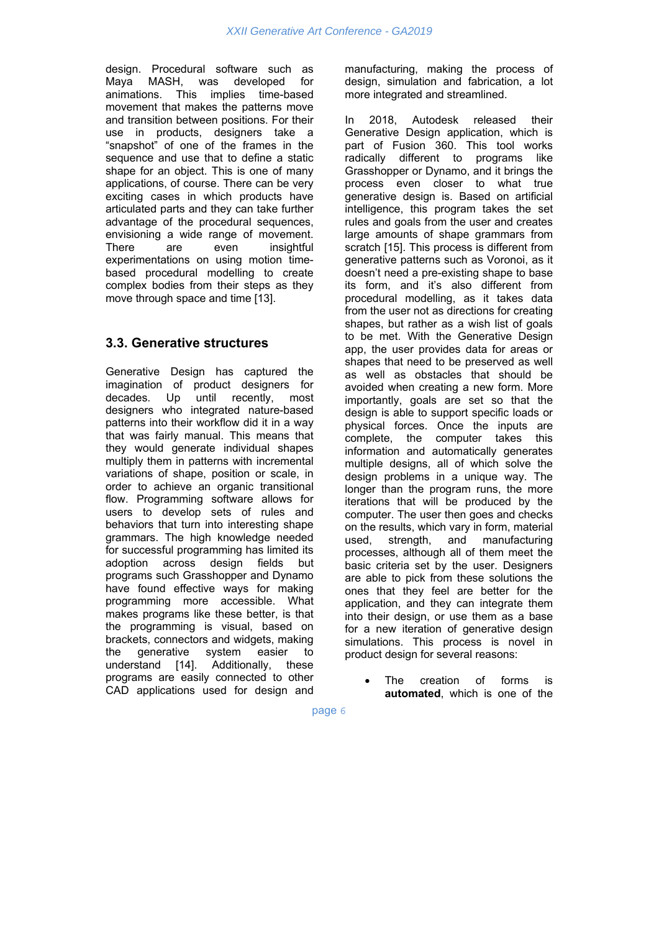design. Procedural software such as Maya MASH, was developed for animations. This implies time-based movement that makes the patterns move and transition between positions. For their use in products, designers take a "snapshot" of one of the frames in the sequence and use that to define a static shape for an object. This is one of many applications, of course. There can be very exciting cases in which products have articulated parts and they can take further advantage of the procedural sequences, envisioning a wide range of movement. There are even insightful experimentations on using motion timebased procedural modelling to create complex bodies from their steps as they move through space and time [13].

#### **3.3. Generative structures**

Generative Design has captured the imagination of product designers for decades. Up until recently, most designers who integrated nature-based patterns into their workflow did it in a way that was fairly manual. This means that they would generate individual shapes multiply them in patterns with incremental variations of shape, position or scale, in order to achieve an organic transitional flow. Programming software allows for users to develop sets of rules and behaviors that turn into interesting shape grammars. The high knowledge needed for successful programming has limited its adoption across design fields but programs such Grasshopper and Dynamo have found effective ways for making programming more accessible. What makes programs like these better, is that the programming is visual, based on brackets, connectors and widgets, making the generative system easier to understand [14]. Additionally, these programs are easily connected to other CAD applications used for design and

manufacturing, making the process of design, simulation and fabrication, a lot more integrated and streamlined.

In 2018, Autodesk released their Generative Design application, which is part of Fusion 360. This tool works radically different to programs like Grasshopper or Dynamo, and it brings the process even closer to what true generative design is. Based on artificial intelligence, this program takes the set rules and goals from the user and creates large amounts of shape grammars from scratch [15]. This process is different from generative patterns such as Voronoi, as it doesn't need a pre-existing shape to base its form, and it's also different from procedural modelling, as it takes data from the user not as directions for creating shapes, but rather as a wish list of goals to be met. With the Generative Design app, the user provides data for areas or shapes that need to be preserved as well as well as obstacles that should be avoided when creating a new form. More importantly, goals are set so that the design is able to support specific loads or physical forces. Once the inputs are complete, the computer takes this information and automatically generates multiple designs, all of which solve the design problems in a unique way. The longer than the program runs, the more iterations that will be produced by the computer. The user then goes and checks on the results, which vary in form, material<br>used, strength, and manufacturing used, strength, and manufacturing processes, although all of them meet the basic criteria set by the user. Designers are able to pick from these solutions the ones that they feel are better for the application, and they can integrate them into their design, or use them as a base for a new iteration of generative design simulations. This process is novel in product design for several reasons:

 The creation of forms is **automated**, which is one of the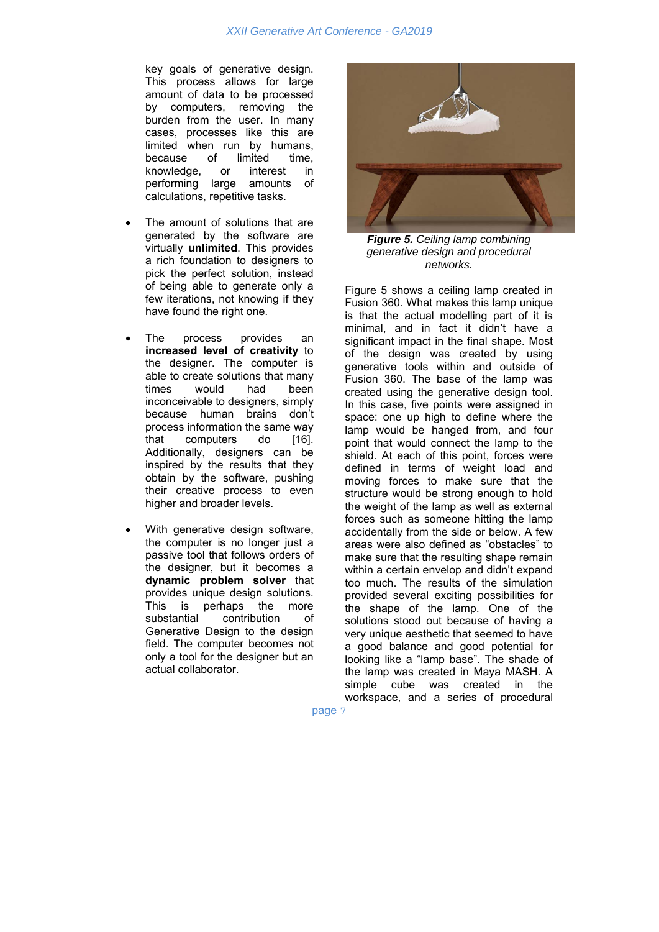key goals of generative design. This process allows for large amount of data to be processed by computers, removing the burden from the user. In many cases, processes like this are limited when run by humans, because of limited time, knowledge, or interest in performing large amounts of calculations, repetitive tasks.

- The amount of solutions that are generated by the software are virtually **unlimited**. This provides a rich foundation to designers to pick the perfect solution, instead of being able to generate only a few iterations, not knowing if they have found the right one.
- The process provides an **increased level of creativity** to the designer. The computer is able to create solutions that many times would had been inconceivable to designers, simply because human brains don't process information the same way that computers do [16]. Additionally, designers can be inspired by the results that they obtain by the software, pushing their creative process to even higher and broader levels.
- With generative design software, the computer is no longer just a passive tool that follows orders of the designer, but it becomes a **dynamic problem solver** that provides unique design solutions. This is perhaps the more substantial contribution of Generative Design to the design field. The computer becomes not only a tool for the designer but an actual collaborator.



*Figure 5. Ceiling lamp combining generative design and procedural networks.* 

Figure 5 shows a ceiling lamp created in Fusion 360. What makes this lamp unique is that the actual modelling part of it is minimal, and in fact it didn't have a significant impact in the final shape. Most of the design was created by using generative tools within and outside of Fusion 360. The base of the lamp was created using the generative design tool. In this case, five points were assigned in space: one up high to define where the lamp would be hanged from, and four point that would connect the lamp to the shield. At each of this point, forces were defined in terms of weight load and moving forces to make sure that the structure would be strong enough to hold the weight of the lamp as well as external forces such as someone hitting the lamp accidentally from the side or below. A few areas were also defined as "obstacles" to make sure that the resulting shape remain within a certain envelop and didn't expand too much. The results of the simulation provided several exciting possibilities for the shape of the lamp. One of the solutions stood out because of having a very unique aesthetic that seemed to have a good balance and good potential for looking like a "lamp base". The shade of the lamp was created in Maya MASH. A simple cube was created in the workspace, and a series of procedural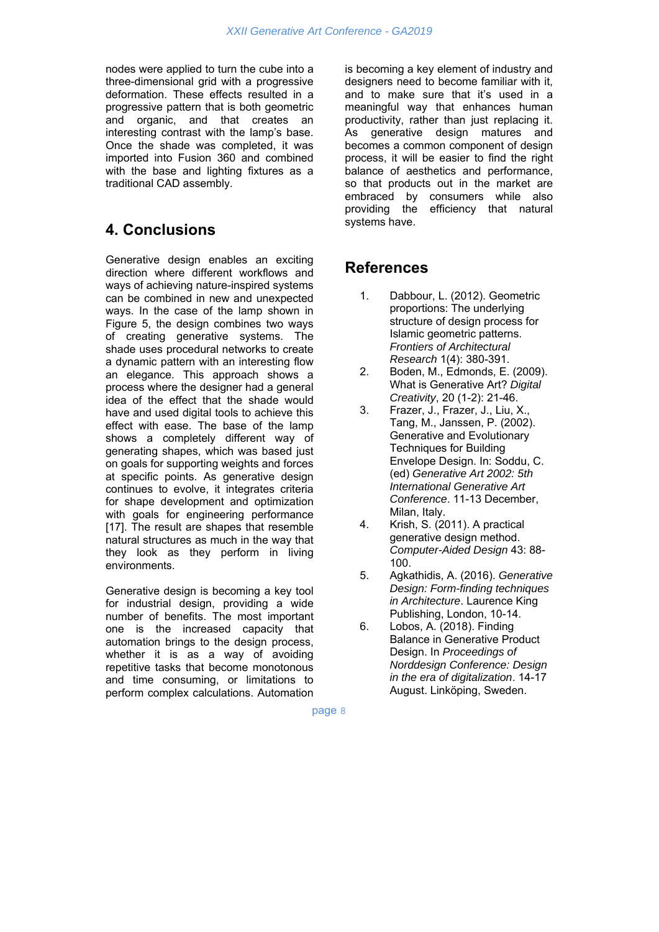nodes were applied to turn the cube into a three-dimensional grid with a progressive deformation. These effects resulted in a progressive pattern that is both geometric and organic, and that creates an interesting contrast with the lamp's base. Once the shade was completed, it was imported into Fusion 360 and combined with the base and lighting fixtures as a traditional CAD assembly.

### **4. Conclusions**

Generative design enables an exciting direction where different workflows and ways of achieving nature-inspired systems can be combined in new and unexpected ways. In the case of the lamp shown in Figure 5, the design combines two ways of creating generative systems. The shade uses procedural networks to create a dynamic pattern with an interesting flow an elegance. This approach shows a process where the designer had a general idea of the effect that the shade would have and used digital tools to achieve this effect with ease. The base of the lamp shows a completely different way of generating shapes, which was based just on goals for supporting weights and forces at specific points. As generative design continues to evolve, it integrates criteria for shape development and optimization with goals for engineering performance [17]. The result are shapes that resemble natural structures as much in the way that they look as they perform in living environments.

Generative design is becoming a key tool for industrial design, providing a wide number of benefits. The most important one is the increased capacity that automation brings to the design process, whether it is as a way of avoiding repetitive tasks that become monotonous and time consuming, or limitations to perform complex calculations. Automation is becoming a key element of industry and designers need to become familiar with it, and to make sure that it's used in a meaningful way that enhances human productivity, rather than just replacing it. As generative design matures and becomes a common component of design process, it will be easier to find the right balance of aesthetics and performance, so that products out in the market are embraced by consumers while also providing the efficiency that natural systems have.

# **References**

- 1. Dabbour, L. (2012). Geometric proportions: The underlying structure of design process for Islamic geometric patterns. *Frontiers of Architectural Research* 1(4): 380-391.
- 2. Boden, M., Edmonds, E. (2009). What is Generative Art? *Digital Creativity*, 20 (1-2): 21-46.
- 3. Frazer, J., Frazer, J., Liu, X., Tang, M., Janssen, P. (2002). Generative and Evolutionary Techniques for Building Envelope Design. In: Soddu, C. (ed) *Generative Art 2002: 5th International Generative Art Conference*. 11-13 December, Milan, Italy.
- 4. Krish, S. (2011). A practical generative design method. *Computer-Aided Design* 43: 88- 100.
- 5. Agkathidis, A. (2016). *Generative Design: Form-finding techniques in Architecture*. Laurence King Publishing, London, 10-14.
- 6. Lobos, A. (2018). Finding Balance in Generative Product Design. In *Proceedings of Norddesign Conference: Design in the era of digitalization*. 14-17 August. Linköping, Sweden.